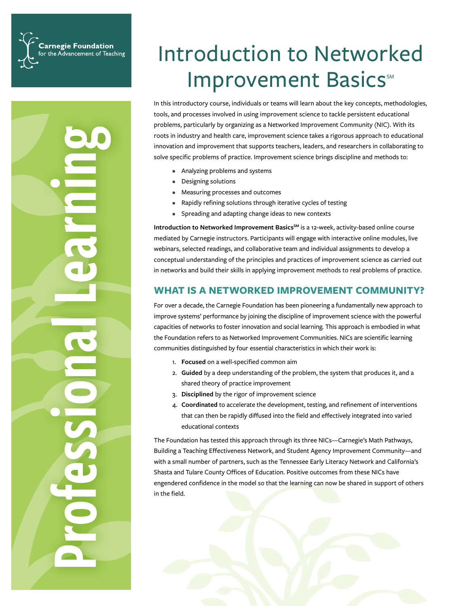**Carnegie Foundation** for the Advancement of Teaching

# Introduction to Networked Improvement Basics<sup>™</sup>

In this introductory course, individuals or teams will learn about the key concepts, methodologies, tools, and processes involved in using improvement science to tackle persistent educational problems, particularly by organizing as a Networked Improvement Community (NIC). With its roots in industry and health care, improvement science takes a rigorous approach to educational innovation and improvement that supports teachers, leaders, and researchers in collaborating to solve specific problems of practice. Improvement science brings discipline and methods to:

- Analyzing problems and systems
- Designing solutions
- Measuring processes and outcomes
- Rapidly refining solutions through iterative cycles of testing
- Spreading and adapting change ideas to new contexts

Introduction to Networked Improvement Basics<sup>SM</sup> is a 12-week, activity-based online course mediated by Carnegie instructors. Participants will engage with interactive online modules, live webinars, selected readings, and collaborative team and individual assignments to develop a conceptual understanding of the principles and practices of improvement science as carried out in networks and build their skills in applying improvement methods to real problems of practice.

### **WHAT IS A NETWORKED IMPROVEMENT COMMUNITY?**

For over a decade, the Carnegie Foundation has been pioneering a fundamentally new approach to improve systems' performance by joining the discipline of improvement science with the powerful capacities of networks to foster innovation and social learning. This approach is embodied in what the Foundation refers to as Networked Improvement Communities. NICs are scientific learning communities distinguished by four essential characteristics in which their work is:

- 1. **Focused** on a well-specified common aim
- 2. **Guided** by a deep understanding of the problem, the system that produces it, and a shared theory of practice improvement
- 3. **Disciplined** by the rigor of improvement science
- 4. **Coordinated** to accelerate the development, testing, and refinement of interventions that can then be rapidly diffused into the field and effectively integrated into varied educational contexts

The Foundation has tested this approach through its three NICs—Carnegie's Math Pathways, Building a Teaching Effectiveness Network, and Student Agency Improvement Community—and with a small number of partners, such as the Tennessee Early Literacy Network and California's Shasta and Tulare County Offices of Education. Positive outcomes from these NICs have engendered confidence in the model so that the learning can now be shared in support of others in the field.